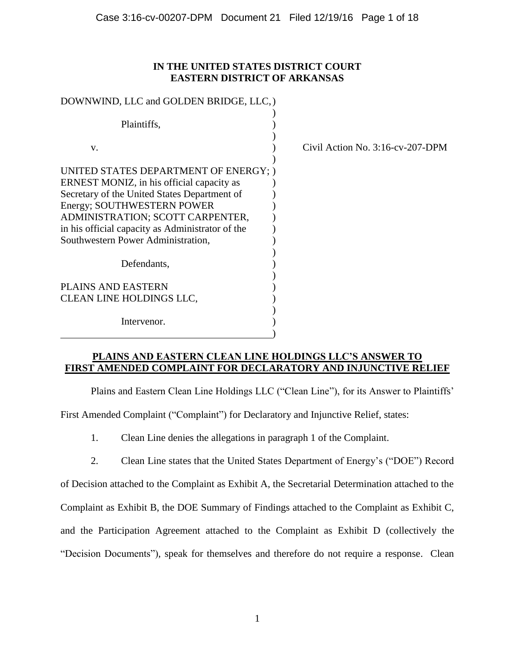# **IN THE UNITED STATES DISTRICT COURT EASTERN DISTRICT OF ARKANSAS**

| DOWNWIND, LLC and GOLDEN BRIDGE, LLC, )                                                                                                                                                                                                                                                        |                                     |
|------------------------------------------------------------------------------------------------------------------------------------------------------------------------------------------------------------------------------------------------------------------------------------------------|-------------------------------------|
| Plaintiffs,                                                                                                                                                                                                                                                                                    |                                     |
| V.                                                                                                                                                                                                                                                                                             | Civil Action No. $3:16$ -cv-207-DPM |
| UNITED STATES DEPARTMENT OF ENERGY; )<br>ERNEST MONIZ, in his official capacity as<br>Secretary of the United States Department of<br>Energy; SOUTHWESTERN POWER<br>ADMINISTRATION; SCOTT CARPENTER,<br>in his official capacity as Administrator of the<br>Southwestern Power Administration, |                                     |
| Defendants,                                                                                                                                                                                                                                                                                    |                                     |
| <b>PLAINS AND EASTERN</b><br>CLEAN LINE HOLDINGS LLC,                                                                                                                                                                                                                                          |                                     |
| Intervenor.                                                                                                                                                                                                                                                                                    |                                     |

# **PLAINS AND EASTERN CLEAN LINE HOLDINGS LLC'S ANSWER TO FIRST AMENDED COMPLAINT FOR DECLARATORY AND INJUNCTIVE RELIEF**

Plains and Eastern Clean Line Holdings LLC ("Clean Line"), for its Answer to Plaintiffs'

First Amended Complaint ("Complaint") for Declaratory and Injunctive Relief, states:

- 1. Clean Line denies the allegations in paragraph 1 of the Complaint.
- 2. Clean Line states that the United States Department of Energy's ("DOE") Record

of Decision attached to the Complaint as Exhibit A, the Secretarial Determination attached to the Complaint as Exhibit B, the DOE Summary of Findings attached to the Complaint as Exhibit C, and the Participation Agreement attached to the Complaint as Exhibit D (collectively the "Decision Documents"), speak for themselves and therefore do not require a response. Clean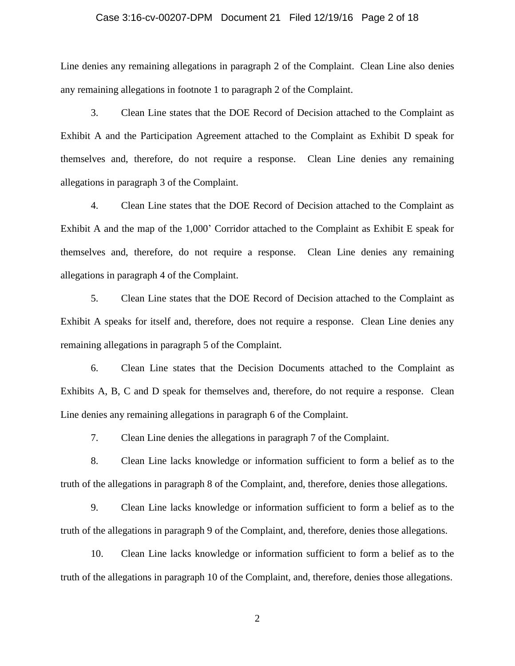## Case 3:16-cv-00207-DPM Document 21 Filed 12/19/16 Page 2 of 18

Line denies any remaining allegations in paragraph 2 of the Complaint. Clean Line also denies any remaining allegations in footnote 1 to paragraph 2 of the Complaint.

3. Clean Line states that the DOE Record of Decision attached to the Complaint as Exhibit A and the Participation Agreement attached to the Complaint as Exhibit D speak for themselves and, therefore, do not require a response. Clean Line denies any remaining allegations in paragraph 3 of the Complaint.

4. Clean Line states that the DOE Record of Decision attached to the Complaint as Exhibit A and the map of the 1,000' Corridor attached to the Complaint as Exhibit E speak for themselves and, therefore, do not require a response. Clean Line denies any remaining allegations in paragraph 4 of the Complaint.

5. Clean Line states that the DOE Record of Decision attached to the Complaint as Exhibit A speaks for itself and, therefore, does not require a response. Clean Line denies any remaining allegations in paragraph 5 of the Complaint.

6. Clean Line states that the Decision Documents attached to the Complaint as Exhibits A, B, C and D speak for themselves and, therefore, do not require a response. Clean Line denies any remaining allegations in paragraph 6 of the Complaint.

7. Clean Line denies the allegations in paragraph 7 of the Complaint.

8. Clean Line lacks knowledge or information sufficient to form a belief as to the truth of the allegations in paragraph 8 of the Complaint, and, therefore, denies those allegations.

9. Clean Line lacks knowledge or information sufficient to form a belief as to the truth of the allegations in paragraph 9 of the Complaint, and, therefore, denies those allegations.

10. Clean Line lacks knowledge or information sufficient to form a belief as to the truth of the allegations in paragraph 10 of the Complaint, and, therefore, denies those allegations.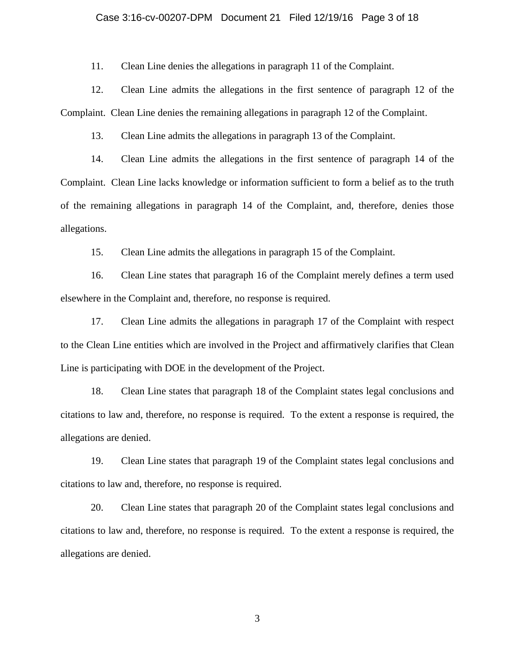## Case 3:16-cv-00207-DPM Document 21 Filed 12/19/16 Page 3 of 18

11. Clean Line denies the allegations in paragraph 11 of the Complaint.

12. Clean Line admits the allegations in the first sentence of paragraph 12 of the Complaint. Clean Line denies the remaining allegations in paragraph 12 of the Complaint.

13. Clean Line admits the allegations in paragraph 13 of the Complaint.

14. Clean Line admits the allegations in the first sentence of paragraph 14 of the Complaint. Clean Line lacks knowledge or information sufficient to form a belief as to the truth of the remaining allegations in paragraph 14 of the Complaint, and, therefore, denies those allegations.

15. Clean Line admits the allegations in paragraph 15 of the Complaint.

16. Clean Line states that paragraph 16 of the Complaint merely defines a term used elsewhere in the Complaint and, therefore, no response is required.

17. Clean Line admits the allegations in paragraph 17 of the Complaint with respect to the Clean Line entities which are involved in the Project and affirmatively clarifies that Clean Line is participating with DOE in the development of the Project.

18. Clean Line states that paragraph 18 of the Complaint states legal conclusions and citations to law and, therefore, no response is required. To the extent a response is required, the allegations are denied.

19. Clean Line states that paragraph 19 of the Complaint states legal conclusions and citations to law and, therefore, no response is required.

20. Clean Line states that paragraph 20 of the Complaint states legal conclusions and citations to law and, therefore, no response is required. To the extent a response is required, the allegations are denied.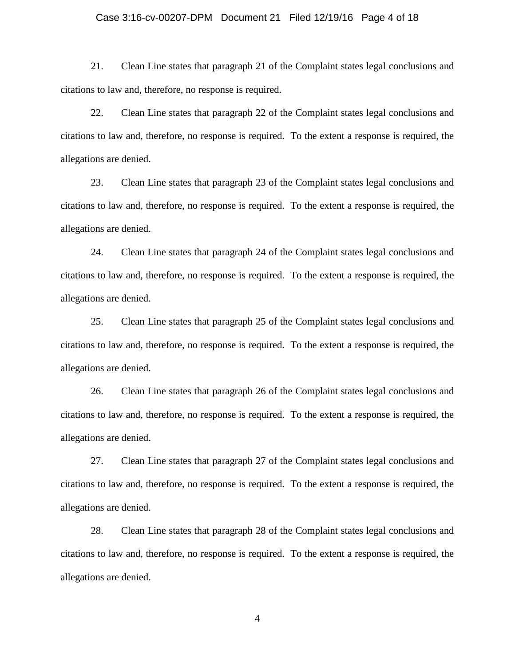## Case 3:16-cv-00207-DPM Document 21 Filed 12/19/16 Page 4 of 18

21. Clean Line states that paragraph 21 of the Complaint states legal conclusions and citations to law and, therefore, no response is required.

22. Clean Line states that paragraph 22 of the Complaint states legal conclusions and citations to law and, therefore, no response is required. To the extent a response is required, the allegations are denied.

23. Clean Line states that paragraph 23 of the Complaint states legal conclusions and citations to law and, therefore, no response is required. To the extent a response is required, the allegations are denied.

24. Clean Line states that paragraph 24 of the Complaint states legal conclusions and citations to law and, therefore, no response is required. To the extent a response is required, the allegations are denied.

25. Clean Line states that paragraph 25 of the Complaint states legal conclusions and citations to law and, therefore, no response is required. To the extent a response is required, the allegations are denied.

26. Clean Line states that paragraph 26 of the Complaint states legal conclusions and citations to law and, therefore, no response is required. To the extent a response is required, the allegations are denied.

27. Clean Line states that paragraph 27 of the Complaint states legal conclusions and citations to law and, therefore, no response is required. To the extent a response is required, the allegations are denied.

28. Clean Line states that paragraph 28 of the Complaint states legal conclusions and citations to law and, therefore, no response is required. To the extent a response is required, the allegations are denied.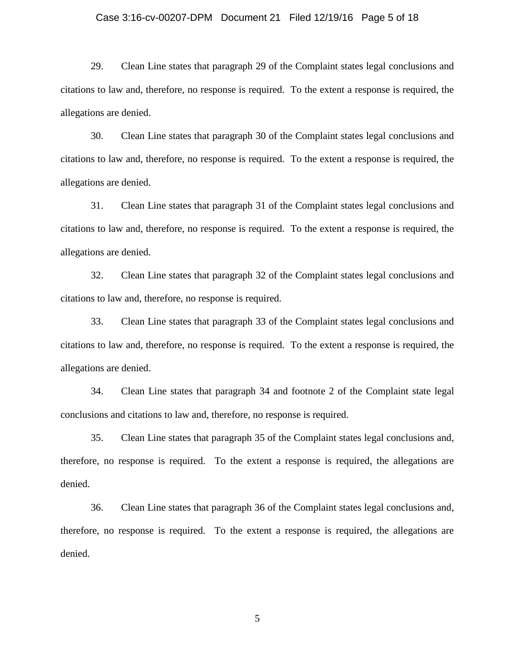## Case 3:16-cv-00207-DPM Document 21 Filed 12/19/16 Page 5 of 18

29. Clean Line states that paragraph 29 of the Complaint states legal conclusions and citations to law and, therefore, no response is required. To the extent a response is required, the allegations are denied.

30. Clean Line states that paragraph 30 of the Complaint states legal conclusions and citations to law and, therefore, no response is required. To the extent a response is required, the allegations are denied.

31. Clean Line states that paragraph 31 of the Complaint states legal conclusions and citations to law and, therefore, no response is required. To the extent a response is required, the allegations are denied.

32. Clean Line states that paragraph 32 of the Complaint states legal conclusions and citations to law and, therefore, no response is required.

33. Clean Line states that paragraph 33 of the Complaint states legal conclusions and citations to law and, therefore, no response is required. To the extent a response is required, the allegations are denied.

34. Clean Line states that paragraph 34 and footnote 2 of the Complaint state legal conclusions and citations to law and, therefore, no response is required.

35. Clean Line states that paragraph 35 of the Complaint states legal conclusions and, therefore, no response is required. To the extent a response is required, the allegations are denied.

36. Clean Line states that paragraph 36 of the Complaint states legal conclusions and, therefore, no response is required. To the extent a response is required, the allegations are denied.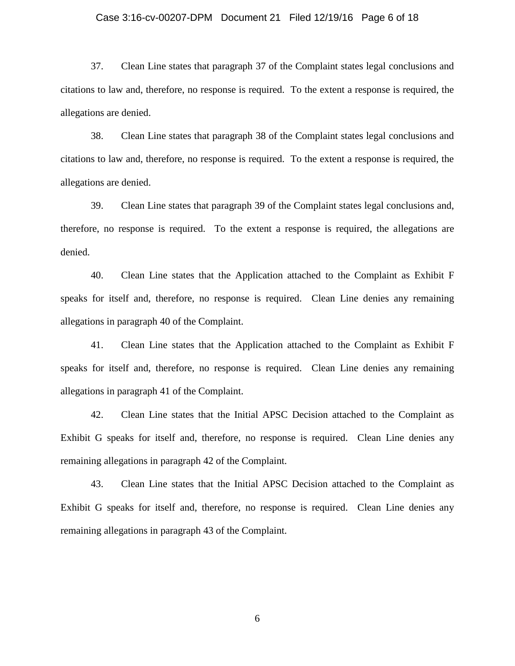## Case 3:16-cv-00207-DPM Document 21 Filed 12/19/16 Page 6 of 18

37. Clean Line states that paragraph 37 of the Complaint states legal conclusions and citations to law and, therefore, no response is required. To the extent a response is required, the allegations are denied.

38. Clean Line states that paragraph 38 of the Complaint states legal conclusions and citations to law and, therefore, no response is required. To the extent a response is required, the allegations are denied.

39. Clean Line states that paragraph 39 of the Complaint states legal conclusions and, therefore, no response is required. To the extent a response is required, the allegations are denied.

40. Clean Line states that the Application attached to the Complaint as Exhibit F speaks for itself and, therefore, no response is required. Clean Line denies any remaining allegations in paragraph 40 of the Complaint.

41. Clean Line states that the Application attached to the Complaint as Exhibit F speaks for itself and, therefore, no response is required. Clean Line denies any remaining allegations in paragraph 41 of the Complaint.

42. Clean Line states that the Initial APSC Decision attached to the Complaint as Exhibit G speaks for itself and, therefore, no response is required. Clean Line denies any remaining allegations in paragraph 42 of the Complaint.

43. Clean Line states that the Initial APSC Decision attached to the Complaint as Exhibit G speaks for itself and, therefore, no response is required. Clean Line denies any remaining allegations in paragraph 43 of the Complaint.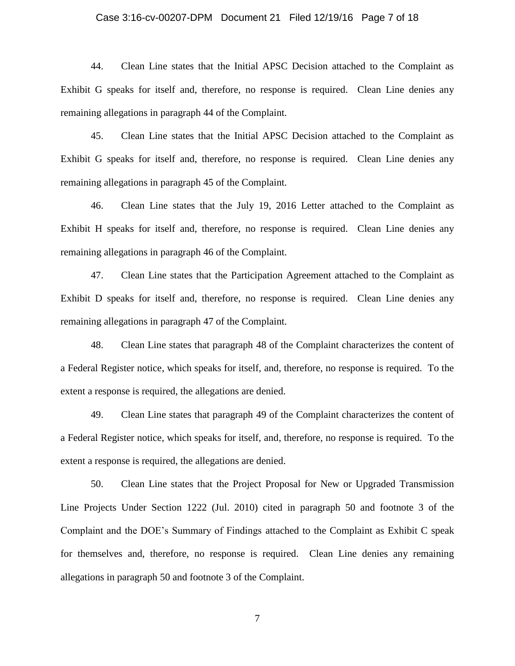## Case 3:16-cv-00207-DPM Document 21 Filed 12/19/16 Page 7 of 18

44. Clean Line states that the Initial APSC Decision attached to the Complaint as Exhibit G speaks for itself and, therefore, no response is required. Clean Line denies any remaining allegations in paragraph 44 of the Complaint.

45. Clean Line states that the Initial APSC Decision attached to the Complaint as Exhibit G speaks for itself and, therefore, no response is required. Clean Line denies any remaining allegations in paragraph 45 of the Complaint.

46. Clean Line states that the July 19, 2016 Letter attached to the Complaint as Exhibit H speaks for itself and, therefore, no response is required. Clean Line denies any remaining allegations in paragraph 46 of the Complaint.

47. Clean Line states that the Participation Agreement attached to the Complaint as Exhibit D speaks for itself and, therefore, no response is required. Clean Line denies any remaining allegations in paragraph 47 of the Complaint.

48. Clean Line states that paragraph 48 of the Complaint characterizes the content of a Federal Register notice, which speaks for itself, and, therefore, no response is required. To the extent a response is required, the allegations are denied.

49. Clean Line states that paragraph 49 of the Complaint characterizes the content of a Federal Register notice, which speaks for itself, and, therefore, no response is required. To the extent a response is required, the allegations are denied.

50. Clean Line states that the Project Proposal for New or Upgraded Transmission Line Projects Under Section 1222 (Jul. 2010) cited in paragraph 50 and footnote 3 of the Complaint and the DOE's Summary of Findings attached to the Complaint as Exhibit C speak for themselves and, therefore, no response is required. Clean Line denies any remaining allegations in paragraph 50 and footnote 3 of the Complaint.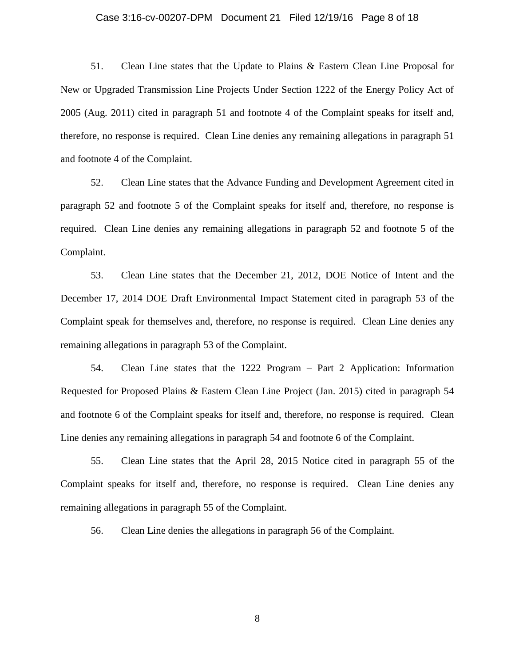#### Case 3:16-cv-00207-DPM Document 21 Filed 12/19/16 Page 8 of 18

51. Clean Line states that the Update to Plains & Eastern Clean Line Proposal for New or Upgraded Transmission Line Projects Under Section 1222 of the Energy Policy Act of 2005 (Aug. 2011) cited in paragraph 51 and footnote 4 of the Complaint speaks for itself and, therefore, no response is required. Clean Line denies any remaining allegations in paragraph 51 and footnote 4 of the Complaint.

52. Clean Line states that the Advance Funding and Development Agreement cited in paragraph 52 and footnote 5 of the Complaint speaks for itself and, therefore, no response is required. Clean Line denies any remaining allegations in paragraph 52 and footnote 5 of the Complaint.

53. Clean Line states that the December 21, 2012, DOE Notice of Intent and the December 17, 2014 DOE Draft Environmental Impact Statement cited in paragraph 53 of the Complaint speak for themselves and, therefore, no response is required. Clean Line denies any remaining allegations in paragraph 53 of the Complaint.

54. Clean Line states that the 1222 Program – Part 2 Application: Information Requested for Proposed Plains & Eastern Clean Line Project (Jan. 2015) cited in paragraph 54 and footnote 6 of the Complaint speaks for itself and, therefore, no response is required. Clean Line denies any remaining allegations in paragraph 54 and footnote 6 of the Complaint.

55. Clean Line states that the April 28, 2015 Notice cited in paragraph 55 of the Complaint speaks for itself and, therefore, no response is required. Clean Line denies any remaining allegations in paragraph 55 of the Complaint.

56. Clean Line denies the allegations in paragraph 56 of the Complaint.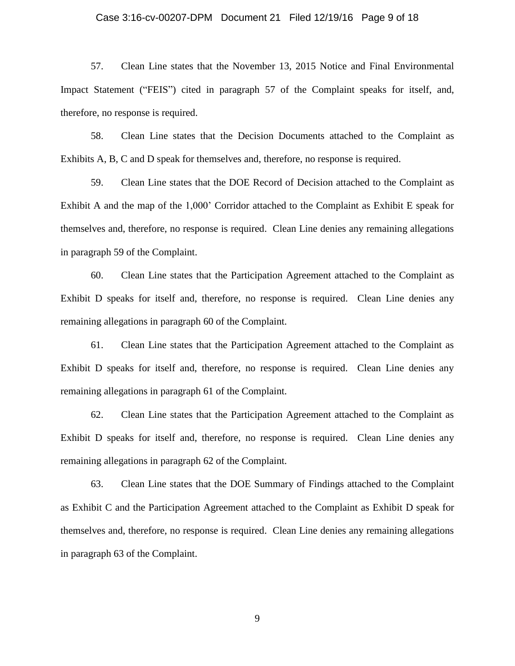## Case 3:16-cv-00207-DPM Document 21 Filed 12/19/16 Page 9 of 18

57. Clean Line states that the November 13, 2015 Notice and Final Environmental Impact Statement ("FEIS") cited in paragraph 57 of the Complaint speaks for itself, and, therefore, no response is required.

58. Clean Line states that the Decision Documents attached to the Complaint as Exhibits A, B, C and D speak for themselves and, therefore, no response is required.

59. Clean Line states that the DOE Record of Decision attached to the Complaint as Exhibit A and the map of the 1,000' Corridor attached to the Complaint as Exhibit E speak for themselves and, therefore, no response is required. Clean Line denies any remaining allegations in paragraph 59 of the Complaint.

60. Clean Line states that the Participation Agreement attached to the Complaint as Exhibit D speaks for itself and, therefore, no response is required. Clean Line denies any remaining allegations in paragraph 60 of the Complaint.

61. Clean Line states that the Participation Agreement attached to the Complaint as Exhibit D speaks for itself and, therefore, no response is required. Clean Line denies any remaining allegations in paragraph 61 of the Complaint.

62. Clean Line states that the Participation Agreement attached to the Complaint as Exhibit D speaks for itself and, therefore, no response is required. Clean Line denies any remaining allegations in paragraph 62 of the Complaint.

63. Clean Line states that the DOE Summary of Findings attached to the Complaint as Exhibit C and the Participation Agreement attached to the Complaint as Exhibit D speak for themselves and, therefore, no response is required. Clean Line denies any remaining allegations in paragraph 63 of the Complaint.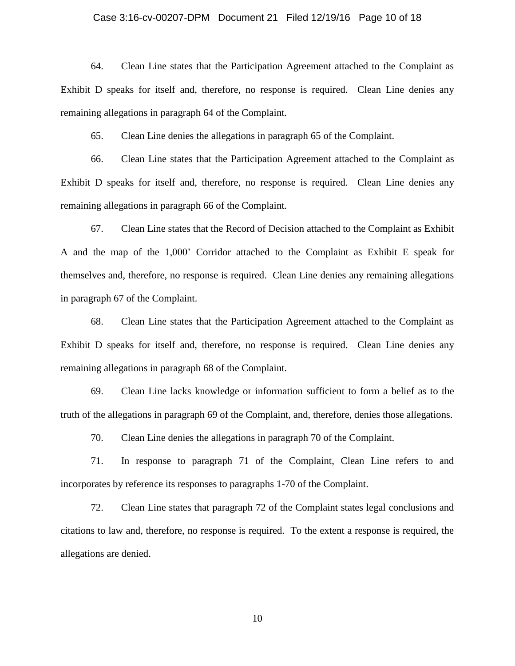#### Case 3:16-cv-00207-DPM Document 21 Filed 12/19/16 Page 10 of 18

64. Clean Line states that the Participation Agreement attached to the Complaint as Exhibit D speaks for itself and, therefore, no response is required. Clean Line denies any remaining allegations in paragraph 64 of the Complaint.

65. Clean Line denies the allegations in paragraph 65 of the Complaint.

66. Clean Line states that the Participation Agreement attached to the Complaint as Exhibit D speaks for itself and, therefore, no response is required. Clean Line denies any remaining allegations in paragraph 66 of the Complaint.

67. Clean Line states that the Record of Decision attached to the Complaint as Exhibit A and the map of the 1,000' Corridor attached to the Complaint as Exhibit E speak for themselves and, therefore, no response is required. Clean Line denies any remaining allegations in paragraph 67 of the Complaint.

68. Clean Line states that the Participation Agreement attached to the Complaint as Exhibit D speaks for itself and, therefore, no response is required. Clean Line denies any remaining allegations in paragraph 68 of the Complaint.

69. Clean Line lacks knowledge or information sufficient to form a belief as to the truth of the allegations in paragraph 69 of the Complaint, and, therefore, denies those allegations.

70. Clean Line denies the allegations in paragraph 70 of the Complaint.

71. In response to paragraph 71 of the Complaint, Clean Line refers to and incorporates by reference its responses to paragraphs 1-70 of the Complaint.

72. Clean Line states that paragraph 72 of the Complaint states legal conclusions and citations to law and, therefore, no response is required. To the extent a response is required, the allegations are denied.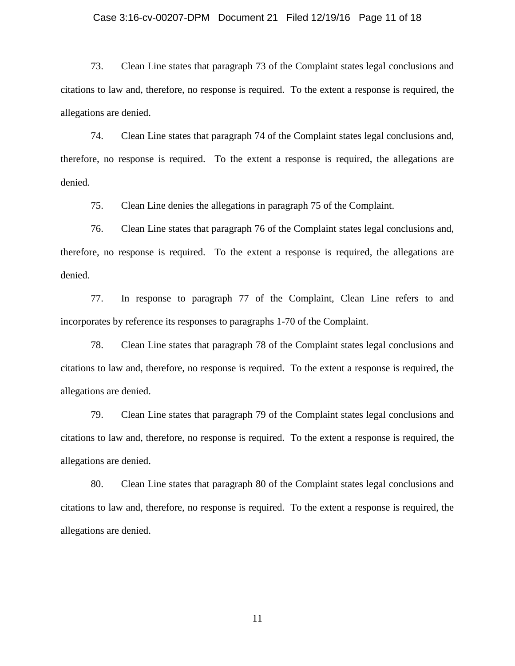### Case 3:16-cv-00207-DPM Document 21 Filed 12/19/16 Page 11 of 18

73. Clean Line states that paragraph 73 of the Complaint states legal conclusions and citations to law and, therefore, no response is required. To the extent a response is required, the allegations are denied.

74. Clean Line states that paragraph 74 of the Complaint states legal conclusions and, therefore, no response is required. To the extent a response is required, the allegations are denied.

75. Clean Line denies the allegations in paragraph 75 of the Complaint.

76. Clean Line states that paragraph 76 of the Complaint states legal conclusions and, therefore, no response is required. To the extent a response is required, the allegations are denied.

77. In response to paragraph 77 of the Complaint, Clean Line refers to and incorporates by reference its responses to paragraphs 1-70 of the Complaint.

78. Clean Line states that paragraph 78 of the Complaint states legal conclusions and citations to law and, therefore, no response is required. To the extent a response is required, the allegations are denied.

79. Clean Line states that paragraph 79 of the Complaint states legal conclusions and citations to law and, therefore, no response is required. To the extent a response is required, the allegations are denied.

80. Clean Line states that paragraph 80 of the Complaint states legal conclusions and citations to law and, therefore, no response is required. To the extent a response is required, the allegations are denied.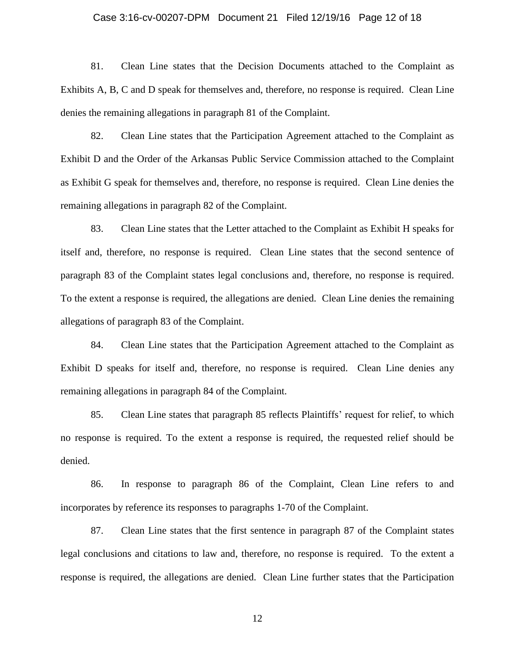### Case 3:16-cv-00207-DPM Document 21 Filed 12/19/16 Page 12 of 18

81. Clean Line states that the Decision Documents attached to the Complaint as Exhibits A, B, C and D speak for themselves and, therefore, no response is required. Clean Line denies the remaining allegations in paragraph 81 of the Complaint.

82. Clean Line states that the Participation Agreement attached to the Complaint as Exhibit D and the Order of the Arkansas Public Service Commission attached to the Complaint as Exhibit G speak for themselves and, therefore, no response is required. Clean Line denies the remaining allegations in paragraph 82 of the Complaint.

83. Clean Line states that the Letter attached to the Complaint as Exhibit H speaks for itself and, therefore, no response is required. Clean Line states that the second sentence of paragraph 83 of the Complaint states legal conclusions and, therefore, no response is required. To the extent a response is required, the allegations are denied. Clean Line denies the remaining allegations of paragraph 83 of the Complaint.

84. Clean Line states that the Participation Agreement attached to the Complaint as Exhibit D speaks for itself and, therefore, no response is required. Clean Line denies any remaining allegations in paragraph 84 of the Complaint.

85. Clean Line states that paragraph 85 reflects Plaintiffs' request for relief, to which no response is required. To the extent a response is required, the requested relief should be denied.

86. In response to paragraph 86 of the Complaint, Clean Line refers to and incorporates by reference its responses to paragraphs 1-70 of the Complaint.

87. Clean Line states that the first sentence in paragraph 87 of the Complaint states legal conclusions and citations to law and, therefore, no response is required. To the extent a response is required, the allegations are denied. Clean Line further states that the Participation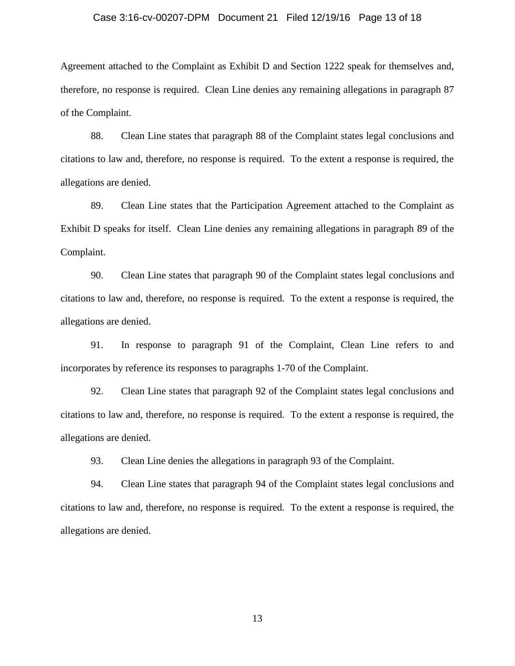### Case 3:16-cv-00207-DPM Document 21 Filed 12/19/16 Page 13 of 18

Agreement attached to the Complaint as Exhibit D and Section 1222 speak for themselves and, therefore, no response is required. Clean Line denies any remaining allegations in paragraph 87 of the Complaint.

88. Clean Line states that paragraph 88 of the Complaint states legal conclusions and citations to law and, therefore, no response is required. To the extent a response is required, the allegations are denied.

89. Clean Line states that the Participation Agreement attached to the Complaint as Exhibit D speaks for itself. Clean Line denies any remaining allegations in paragraph 89 of the Complaint.

90. Clean Line states that paragraph 90 of the Complaint states legal conclusions and citations to law and, therefore, no response is required. To the extent a response is required, the allegations are denied.

91. In response to paragraph 91 of the Complaint, Clean Line refers to and incorporates by reference its responses to paragraphs 1-70 of the Complaint.

92. Clean Line states that paragraph 92 of the Complaint states legal conclusions and citations to law and, therefore, no response is required. To the extent a response is required, the allegations are denied.

93. Clean Line denies the allegations in paragraph 93 of the Complaint.

94. Clean Line states that paragraph 94 of the Complaint states legal conclusions and citations to law and, therefore, no response is required. To the extent a response is required, the allegations are denied.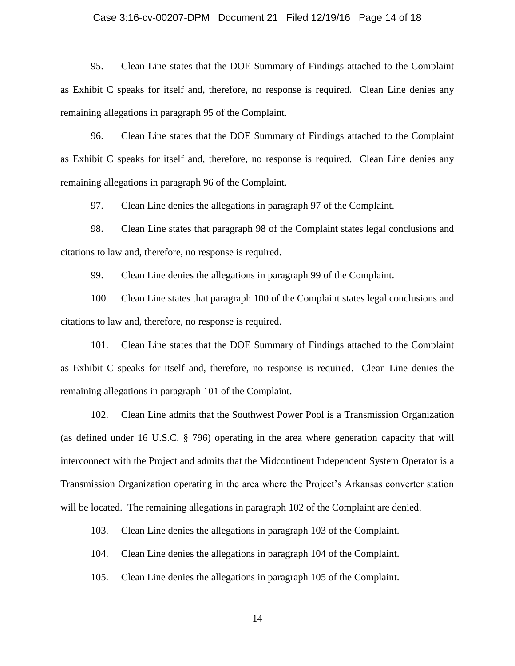#### Case 3:16-cv-00207-DPM Document 21 Filed 12/19/16 Page 14 of 18

95. Clean Line states that the DOE Summary of Findings attached to the Complaint as Exhibit C speaks for itself and, therefore, no response is required. Clean Line denies any remaining allegations in paragraph 95 of the Complaint.

96. Clean Line states that the DOE Summary of Findings attached to the Complaint as Exhibit C speaks for itself and, therefore, no response is required. Clean Line denies any remaining allegations in paragraph 96 of the Complaint.

97. Clean Line denies the allegations in paragraph 97 of the Complaint.

98. Clean Line states that paragraph 98 of the Complaint states legal conclusions and citations to law and, therefore, no response is required.

99. Clean Line denies the allegations in paragraph 99 of the Complaint.

100. Clean Line states that paragraph 100 of the Complaint states legal conclusions and citations to law and, therefore, no response is required.

101. Clean Line states that the DOE Summary of Findings attached to the Complaint as Exhibit C speaks for itself and, therefore, no response is required. Clean Line denies the remaining allegations in paragraph 101 of the Complaint.

102. Clean Line admits that the Southwest Power Pool is a Transmission Organization (as defined under 16 U.S.C. § 796) operating in the area where generation capacity that will interconnect with the Project and admits that the Midcontinent Independent System Operator is a Transmission Organization operating in the area where the Project's Arkansas converter station will be located. The remaining allegations in paragraph 102 of the Complaint are denied.

103. Clean Line denies the allegations in paragraph 103 of the Complaint.

104. Clean Line denies the allegations in paragraph 104 of the Complaint.

105. Clean Line denies the allegations in paragraph 105 of the Complaint.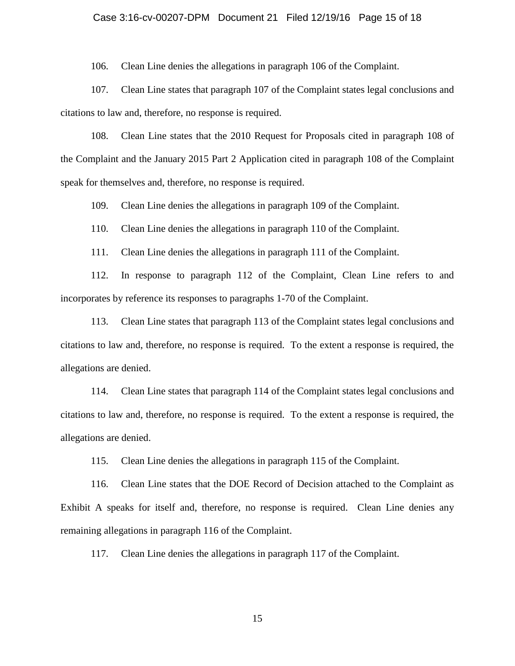#### Case 3:16-cv-00207-DPM Document 21 Filed 12/19/16 Page 15 of 18

106. Clean Line denies the allegations in paragraph 106 of the Complaint.

107. Clean Line states that paragraph 107 of the Complaint states legal conclusions and citations to law and, therefore, no response is required.

108. Clean Line states that the 2010 Request for Proposals cited in paragraph 108 of the Complaint and the January 2015 Part 2 Application cited in paragraph 108 of the Complaint speak for themselves and, therefore, no response is required.

109. Clean Line denies the allegations in paragraph 109 of the Complaint.

110. Clean Line denies the allegations in paragraph 110 of the Complaint.

111. Clean Line denies the allegations in paragraph 111 of the Complaint.

112. In response to paragraph 112 of the Complaint, Clean Line refers to and incorporates by reference its responses to paragraphs 1-70 of the Complaint.

113. Clean Line states that paragraph 113 of the Complaint states legal conclusions and citations to law and, therefore, no response is required. To the extent a response is required, the allegations are denied.

114. Clean Line states that paragraph 114 of the Complaint states legal conclusions and citations to law and, therefore, no response is required. To the extent a response is required, the allegations are denied.

115. Clean Line denies the allegations in paragraph 115 of the Complaint.

116. Clean Line states that the DOE Record of Decision attached to the Complaint as Exhibit A speaks for itself and, therefore, no response is required. Clean Line denies any remaining allegations in paragraph 116 of the Complaint.

117. Clean Line denies the allegations in paragraph 117 of the Complaint.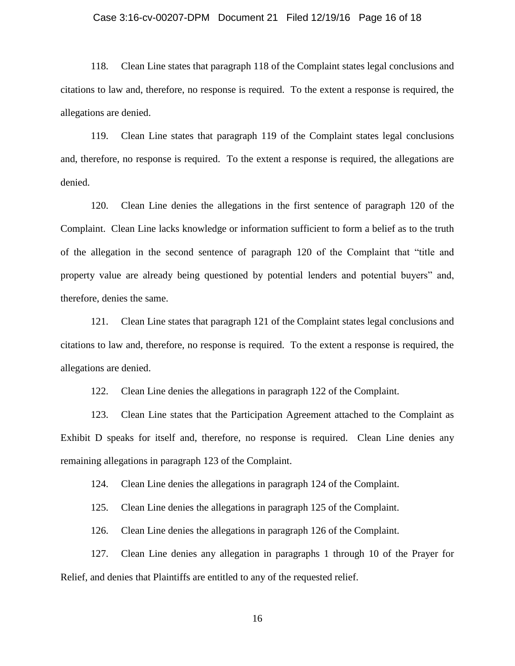### Case 3:16-cv-00207-DPM Document 21 Filed 12/19/16 Page 16 of 18

118. Clean Line states that paragraph 118 of the Complaint states legal conclusions and citations to law and, therefore, no response is required. To the extent a response is required, the allegations are denied.

119. Clean Line states that paragraph 119 of the Complaint states legal conclusions and, therefore, no response is required. To the extent a response is required, the allegations are denied.

120. Clean Line denies the allegations in the first sentence of paragraph 120 of the Complaint. Clean Line lacks knowledge or information sufficient to form a belief as to the truth of the allegation in the second sentence of paragraph 120 of the Complaint that "title and property value are already being questioned by potential lenders and potential buyers" and, therefore, denies the same.

121. Clean Line states that paragraph 121 of the Complaint states legal conclusions and citations to law and, therefore, no response is required. To the extent a response is required, the allegations are denied.

122. Clean Line denies the allegations in paragraph 122 of the Complaint.

123. Clean Line states that the Participation Agreement attached to the Complaint as Exhibit D speaks for itself and, therefore, no response is required. Clean Line denies any remaining allegations in paragraph 123 of the Complaint.

124. Clean Line denies the allegations in paragraph 124 of the Complaint.

125. Clean Line denies the allegations in paragraph 125 of the Complaint.

126. Clean Line denies the allegations in paragraph 126 of the Complaint.

127. Clean Line denies any allegation in paragraphs 1 through 10 of the Prayer for Relief, and denies that Plaintiffs are entitled to any of the requested relief.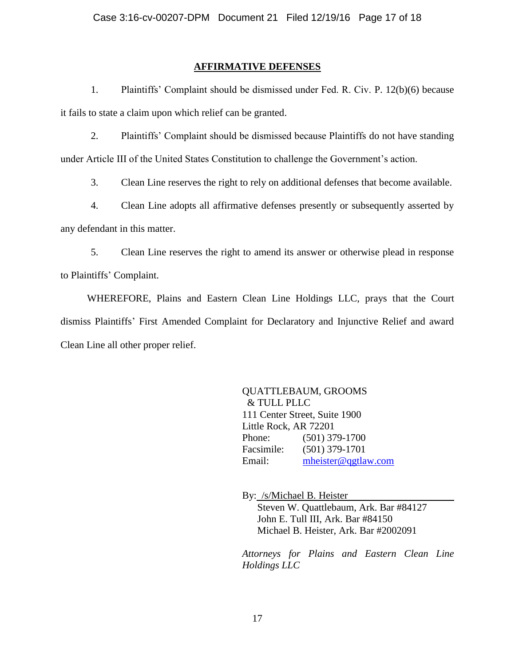## **AFFIRMATIVE DEFENSES**

1. Plaintiffs' Complaint should be dismissed under Fed. R. Civ. P. 12(b)(6) because it fails to state a claim upon which relief can be granted.

2. Plaintiffs' Complaint should be dismissed because Plaintiffs do not have standing under Article III of the United States Constitution to challenge the Government's action.

3. Clean Line reserves the right to rely on additional defenses that become available.

4. Clean Line adopts all affirmative defenses presently or subsequently asserted by any defendant in this matter.

5. Clean Line reserves the right to amend its answer or otherwise plead in response to Plaintiffs' Complaint.

WHEREFORE, Plains and Eastern Clean Line Holdings LLC, prays that the Court dismiss Plaintiffs' First Amended Complaint for Declaratory and Injunctive Relief and award Clean Line all other proper relief.

> QUATTLEBAUM, GROOMS & TULL PLLC 111 Center Street, Suite 1900 Little Rock, AR 72201 Phone: (501) 379-1700 Facsimile: (501) 379-1701 Email: [mheister@qgtlaw.com](mailto:mheister@qgtlaw.com)

By: /s/Michael B. Heister Steven W. Quattlebaum, Ark. Bar #84127 John E. Tull III, Ark. Bar #84150 Michael B. Heister, Ark. Bar #2002091

*Attorneys for Plains and Eastern Clean Line Holdings LLC*